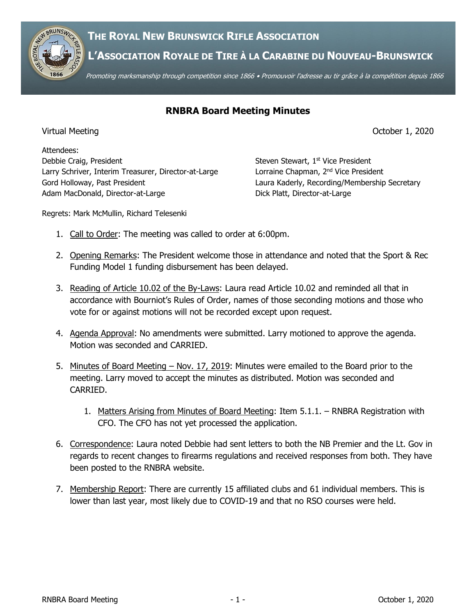



**L'ASSOCIATION ROYALE DE TIRE À LA CARABINE DU NOUVEAU-BRUNSWICK**

Promoting marksmanship through competition since 1866 • Promouvoir l'adresse au tir grâce à la compétition depuis 1866

## **RNBRA Board Meeting Minutes**

Virtual Meeting October 1, 2020

Attendees: Debbie Craig, President Steven Steven Stewart, 1st Vice President Larry Schriver, Interim Treasurer, Director-at-Large Lorraine Chapman, 2<sup>nd</sup> Vice President Gord Holloway, Past President **Laura Kaderly, Recording/Membership Secretary** Adam MacDonald, Director-at-Large Dick Platt, Director-at-Large

Regrets: Mark McMullin, Richard Telesenki

- 1. Call to Order: The meeting was called to order at 6:00pm.
- 2. Opening Remarks: The President welcome those in attendance and noted that the Sport & Rec Funding Model 1 funding disbursement has been delayed.
- 3. Reading of Article 10.02 of the By-Laws: Laura read Article 10.02 and reminded all that in accordance with Bourniot's Rules of Order, names of those seconding motions and those who vote for or against motions will not be recorded except upon request.
- 4. Agenda Approval: No amendments were submitted. Larry motioned to approve the agenda. Motion was seconded and CARRIED.
- 5. Minutes of Board Meeting Nov. 17, 2019: Minutes were emailed to the Board prior to the meeting. Larry moved to accept the minutes as distributed. Motion was seconded and CARRIED.
	- 1. Matters Arising from Minutes of Board Meeting: Item 5.1.1. RNBRA Registration with CFO. The CFO has not yet processed the application.
- 6. Correspondence: Laura noted Debbie had sent letters to both the NB Premier and the Lt. Gov in regards to recent changes to firearms regulations and received responses from both. They have been posted to the RNBRA website.
- 7. Membership Report: There are currently 15 affiliated clubs and 61 individual members. This is lower than last year, most likely due to COVID-19 and that no RSO courses were held.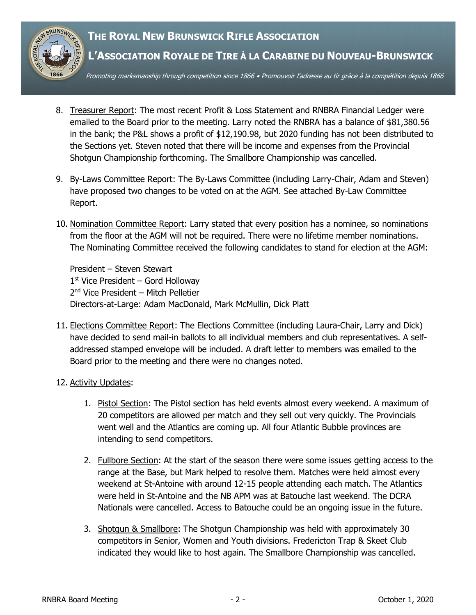

- 8. Treasurer Report: The most recent Profit & Loss Statement and RNBRA Financial Ledger were emailed to the Board prior to the meeting. Larry noted the RNBRA has a balance of \$81,380.56 in the bank; the P&L shows a profit of \$12,190.98, but 2020 funding has not been distributed to the Sections yet. Steven noted that there will be income and expenses from the Provincial Shotgun Championship forthcoming. The Smallbore Championship was cancelled.
- 9. By-Laws Committee Report: The By-Laws Committee (including Larry-Chair, Adam and Steven) have proposed two changes to be voted on at the AGM. See attached By-Law Committee Report.
- 10. Nomination Committee Report: Larry stated that every position has a nominee, so nominations from the floor at the AGM will not be required. There were no lifetime member nominations. The Nominating Committee received the following candidates to stand for election at the AGM:

President – Steven Stewart  $1<sup>st</sup>$  Vice President – Gord Holloway 2 nd Vice President – Mitch Pelletier Directors-at-Large: Adam MacDonald, Mark McMullin, Dick Platt

11. Elections Committee Report: The Elections Committee (including Laura-Chair, Larry and Dick) have decided to send mail-in ballots to all individual members and club representatives. A selfaddressed stamped envelope will be included. A draft letter to members was emailed to the Board prior to the meeting and there were no changes noted.

#### 12. Activity Updates:

- 1. Pistol Section: The Pistol section has held events almost every weekend. A maximum of 20 competitors are allowed per match and they sell out very quickly. The Provincials went well and the Atlantics are coming up. All four Atlantic Bubble provinces are intending to send competitors.
- 2. Fullbore Section: At the start of the season there were some issues getting access to the range at the Base, but Mark helped to resolve them. Matches were held almost every weekend at St-Antoine with around 12-15 people attending each match. The Atlantics were held in St-Antoine and the NB APM was at Batouche last weekend. The DCRA Nationals were cancelled. Access to Batouche could be an ongoing issue in the future.
- 3. Shotgun & Smallbore: The Shotgun Championship was held with approximately 30 competitors in Senior, Women and Youth divisions. Fredericton Trap & Skeet Club indicated they would like to host again. The Smallbore Championship was cancelled.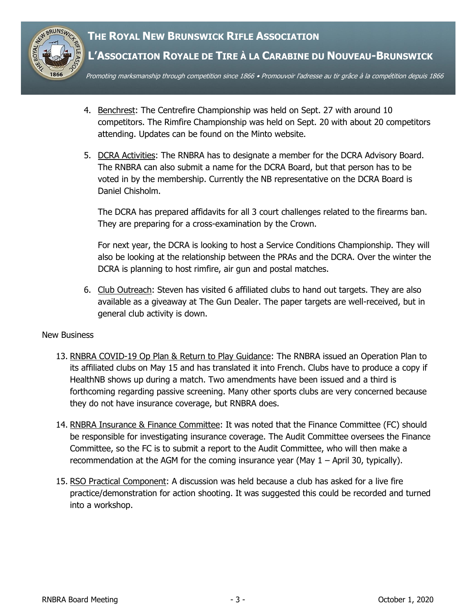# **THE ROYAL NEW BRUNSWICK RIFLE ASSOCIATION**



### **L'ASSOCIATION ROYALE DE TIRE À LA CARABINE DU NOUVEAU-BRUNSWICK**

Promoting marksmanship through competition since 1866 • Promouvoir l'adresse au tir grâce à la compétition depuis 1866

- 4. Benchrest: The Centrefire Championship was held on Sept. 27 with around 10 competitors. The Rimfire Championship was held on Sept. 20 with about 20 competitors attending. Updates can be found on the Minto website.
- 5. DCRA Activities: The RNBRA has to designate a member for the DCRA Advisory Board. The RNBRA can also submit a name for the DCRA Board, but that person has to be voted in by the membership. Currently the NB representative on the DCRA Board is Daniel Chisholm.

The DCRA has prepared affidavits for all 3 court challenges related to the firearms ban. They are preparing for a cross-examination by the Crown.

For next year, the DCRA is looking to host a Service Conditions Championship. They will also be looking at the relationship between the PRAs and the DCRA. Over the winter the DCRA is planning to host rimfire, air gun and postal matches.

6. Club Outreach: Steven has visited 6 affiliated clubs to hand out targets. They are also available as a giveaway at The Gun Dealer. The paper targets are well-received, but in general club activity is down.

#### New Business

- 13. RNBRA COVID-19 Op Plan & Return to Play Guidance: The RNBRA issued an Operation Plan to its affiliated clubs on May 15 and has translated it into French. Clubs have to produce a copy if HealthNB shows up during a match. Two amendments have been issued and a third is forthcoming regarding passive screening. Many other sports clubs are very concerned because they do not have insurance coverage, but RNBRA does.
- 14. RNBRA Insurance & Finance Committee: It was noted that the Finance Committee (FC) should be responsible for investigating insurance coverage. The Audit Committee oversees the Finance Committee, so the FC is to submit a report to the Audit Committee, who will then make a recommendation at the AGM for the coming insurance year (May  $1 -$  April 30, typically).
- 15. RSO Practical Component: A discussion was held because a club has asked for a live fire practice/demonstration for action shooting. It was suggested this could be recorded and turned into a workshop.